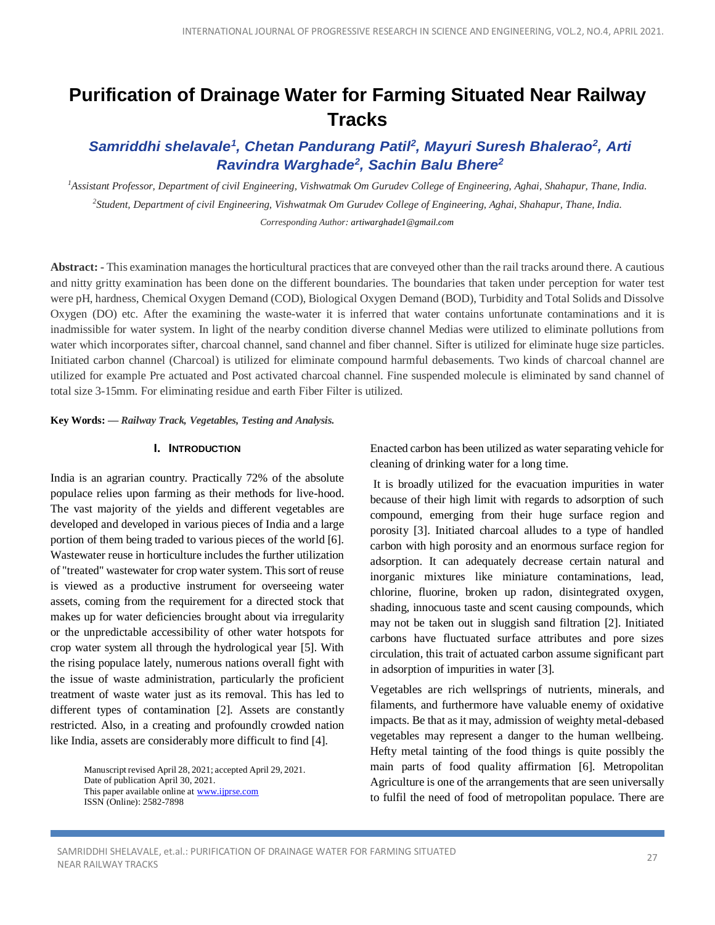# **Purification of Drainage Water for Farming Situated Near Railway Tracks**

*Samriddhi shelavale<sup>1</sup> , Chetan Pandurang Patil<sup>2</sup> , Mayuri Suresh Bhalerao<sup>2</sup> , Arti Ravindra Warghade<sup>2</sup> , Sachin Balu Bhere<sup>2</sup>*

*<sup>1</sup>Assistant Professor, Department of civil Engineering, Vishwatmak Om Gurudev College of Engineering, Aghai, Shahapur, Thane, India.*

*2 Student, Department of civil Engineering, Vishwatmak Om Gurudev College of Engineering, Aghai, Shahapur, Thane, India. Corresponding Author: artiwarghade1@gmail.com*

**Abstract: -** This examination manages the horticultural practices that are conveyed other than the rail tracks around there. A cautious and nitty gritty examination has been done on the different boundaries. The boundaries that taken under perception for water test were pH, hardness, Chemical Oxygen Demand (COD), Biological Oxygen Demand (BOD), Turbidity and Total Solids and Dissolve Oxygen (DO) etc. After the examining the waste-water it is inferred that water contains unfortunate contaminations and it is inadmissible for water system. In light of the nearby condition diverse channel Medias were utilized to eliminate pollutions from water which incorporates sifter, charcoal channel, sand channel and fiber channel. Sifter is utilized for eliminate huge size particles. Initiated carbon channel (Charcoal) is utilized for eliminate compound harmful debasements. Two kinds of charcoal channel are utilized for example Pre actuated and Post activated charcoal channel. Fine suspended molecule is eliminated by sand channel of total size 3-15mm. For eliminating residue and earth Fiber Filter is utilized.

**Key Words:** *— Railway Track, Vegetables, Testing and Analysis.*

#### **I. INTRODUCTION**

India is an agrarian country. Practically 72% of the absolute populace relies upon farming as their methods for live-hood. The vast majority of the yields and different vegetables are developed and developed in various pieces of India and a large portion of them being traded to various pieces of the world [6]. Wastewater reuse in horticulture includes the further utilization of "treated" wastewater for crop water system. This sort of reuse is viewed as a productive instrument for overseeing water assets, coming from the requirement for a directed stock that makes up for water deficiencies brought about via irregularity or the unpredictable accessibility of other water hotspots for crop water system all through the hydrological year [5]. With the rising populace lately, numerous nations overall fight with the issue of waste administration, particularly the proficient treatment of waste water just as its removal. This has led to different types of contamination [2]. Assets are constantly restricted. Also, in a creating and profoundly crowded nation like India, assets are considerably more difficult to find [4].

> Manuscript revised April 28, 2021; accepted April 29, 2021. Date of publication April 30, 2021. This paper available online a[t www.ijprse.com](http://www.ijprse.com/) ISSN (Online): 2582-7898

Enacted carbon has been utilized as water separating vehicle for cleaning of drinking water for a long time.

It is broadly utilized for the evacuation impurities in water because of their high limit with regards to adsorption of such compound, emerging from their huge surface region and porosity [3]. Initiated charcoal alludes to a type of handled carbon with high porosity and an enormous surface region for adsorption. It can adequately decrease certain natural and inorganic mixtures like miniature contaminations, lead, chlorine, fluorine, broken up radon, disintegrated oxygen, shading, innocuous taste and scent causing compounds, which may not be taken out in sluggish sand filtration [2]. Initiated carbons have fluctuated surface attributes and pore sizes circulation, this trait of actuated carbon assume significant part in adsorption of impurities in water [3].

Vegetables are rich wellsprings of nutrients, minerals, and filaments, and furthermore have valuable enemy of oxidative impacts. Be that as it may, admission of weighty metal-debased vegetables may represent a danger to the human wellbeing. Hefty metal tainting of the food things is quite possibly the main parts of food quality affirmation [6]. Metropolitan Agriculture is one of the arrangements that are seen universally to fulfil the need of food of metropolitan populace. There are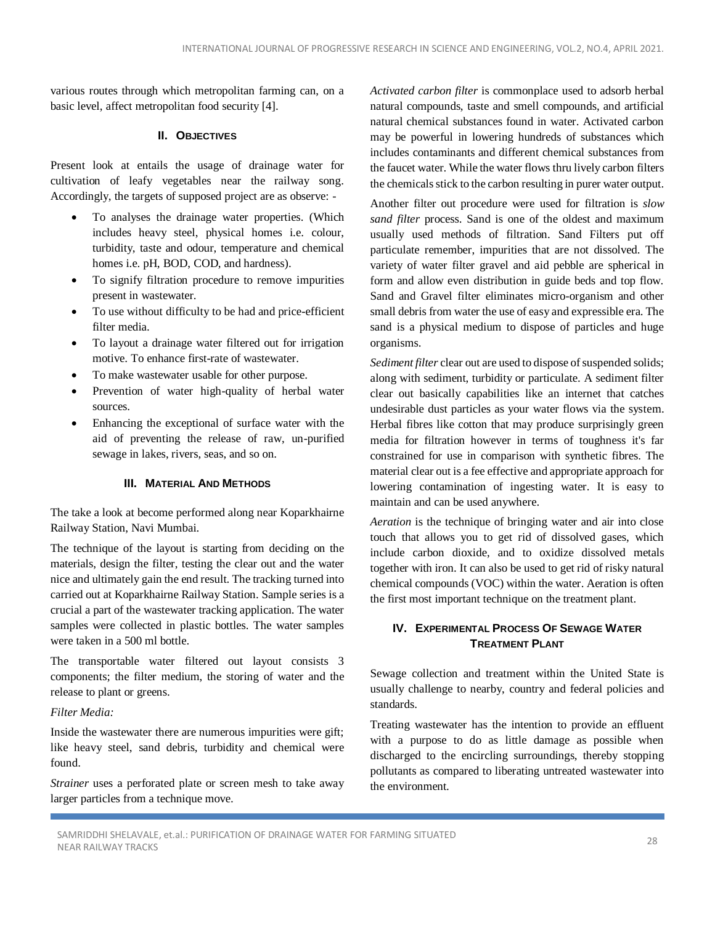various routes through which metropolitan farming can, on a basic level, affect metropolitan food security [4].

#### **II. OBJECTIVES**

Present look at entails the usage of drainage water for cultivation of leafy vegetables near the railway song. Accordingly, the targets of supposed project are as observe: -

- To analyses the drainage water properties. (Which includes heavy steel, physical homes i.e. colour, turbidity, taste and odour, temperature and chemical homes i.e. pH, BOD, COD, and hardness).
- To signify filtration procedure to remove impurities present in wastewater.
- To use without difficulty to be had and price-efficient filter media.
- To layout a drainage water filtered out for irrigation motive. To enhance first-rate of wastewater.
- To make wastewater usable for other purpose.
- Prevention of water high-quality of herbal water sources.
- Enhancing the exceptional of surface water with the aid of preventing the release of raw, un-purified sewage in lakes, rivers, seas, and so on.

#### **III. MATERIAL AND METHODS**

The take a look at become performed along near Koparkhairne Railway Station, Navi Mumbai.

The technique of the layout is starting from deciding on the materials, design the filter, testing the clear out and the water nice and ultimately gain the end result. The tracking turned into carried out at Koparkhairne Railway Station. Sample series is a crucial a part of the wastewater tracking application. The water samples were collected in plastic bottles. The water samples were taken in a 500 ml bottle.

The transportable water filtered out layout consists 3 components; the filter medium, the storing of water and the release to plant or greens.

#### *Filter Media:*

Inside the wastewater there are numerous impurities were gift; like heavy steel, sand debris, turbidity and chemical were found.

*Strainer* uses a perforated plate or screen mesh to take away larger particles from a technique move.

*Activated carbon filter* is commonplace used to adsorb herbal natural compounds, taste and smell compounds, and artificial natural chemical substances found in water. Activated carbon may be powerful in lowering hundreds of substances which includes contaminants and different chemical substances from the faucet water. While the water flows thru lively carbon filters the chemicals stick to the carbon resulting in purer water output.

Another filter out procedure were used for filtration is *slow sand filter* process. Sand is one of the oldest and maximum usually used methods of filtration. Sand Filters put off particulate remember, impurities that are not dissolved. The variety of water filter gravel and aid pebble are spherical in form and allow even distribution in guide beds and top flow. Sand and Gravel filter eliminates micro-organism and other small debris from water the use of easy and expressible era. The sand is a physical medium to dispose of particles and huge organisms.

*Sediment filter* clear out are used to dispose of suspended solids; along with sediment, turbidity or particulate. A sediment filter clear out basically capabilities like an internet that catches undesirable dust particles as your water flows via the system. Herbal fibres like cotton that may produce surprisingly green media for filtration however in terms of toughness it's far constrained for use in comparison with synthetic fibres. The material clear out is a fee effective and appropriate approach for lowering contamination of ingesting water. It is easy to maintain and can be used anywhere.

*Aeration* is the technique of bringing water and air into close touch that allows you to get rid of dissolved gases, which include carbon dioxide, and to oxidize dissolved metals together with iron. It can also be used to get rid of risky natural chemical compounds (VOC) within the water. Aeration is often the first most important technique on the treatment plant.

# **IV. EXPERIMENTAL PROCESS OF SEWAGE WATER TREATMENT PLANT**

Sewage collection and treatment within the United State is usually challenge to nearby, country and federal policies and standards.

Treating wastewater has the intention to provide an effluent with a purpose to do as little damage as possible when discharged to the encircling surroundings, thereby stopping pollutants as compared to liberating untreated wastewater into the environment.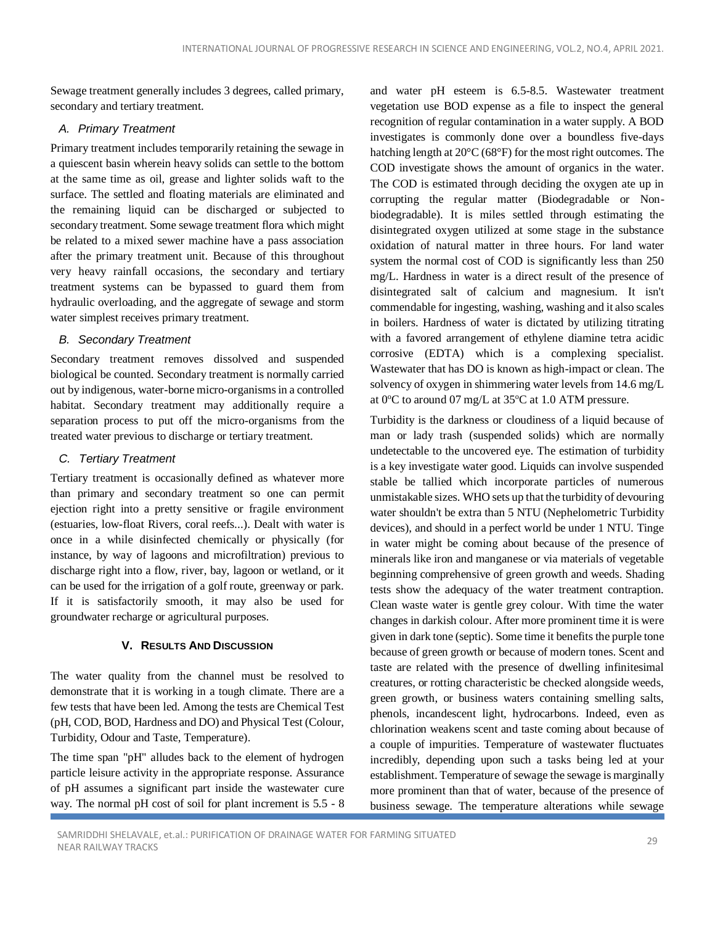Sewage treatment generally includes 3 degrees, called primary, secondary and tertiary treatment.

#### *A. Primary Treatment*

Primary treatment includes temporarily retaining the sewage in a quiescent basin wherein heavy solids can settle to the bottom at the same time as oil, grease and lighter solids waft to the surface. The settled and floating materials are eliminated and the remaining liquid can be discharged or subjected to secondary treatment. Some sewage treatment flora which might be related to a mixed sewer machine have a pass association after the primary treatment unit. Because of this throughout very heavy rainfall occasions, the secondary and tertiary treatment systems can be bypassed to guard them from hydraulic overloading, and the aggregate of sewage and storm water simplest receives primary treatment.

### *B. Secondary Treatment*

Secondary treatment removes dissolved and suspended biological be counted. Secondary treatment is normally carried out by indigenous, water-borne micro-organisms in a controlled habitat. Secondary treatment may additionally require a separation process to put off the micro-organisms from the treated water previous to discharge or tertiary treatment.

## *C. Tertiary Treatment*

Tertiary treatment is occasionally defined as whatever more than primary and secondary treatment so one can permit ejection right into a pretty sensitive or fragile environment (estuaries, low-float Rivers, coral reefs...). Dealt with water is once in a while disinfected chemically or physically (for instance, by way of lagoons and microfiltration) previous to discharge right into a flow, river, bay, lagoon or wetland, or it can be used for the irrigation of a golf route, greenway or park. If it is satisfactorily smooth, it may also be used for groundwater recharge or agricultural purposes.

#### **V. RESULTS AND DISCUSSION**

The water quality from the channel must be resolved to demonstrate that it is working in a tough climate. There are a few tests that have been led. Among the tests are Chemical Test (pH, COD, BOD, Hardness and DO) and Physical Test (Colour, Turbidity, Odour and Taste, Temperature).

The time span "pH" alludes back to the element of hydrogen particle leisure activity in the appropriate response. Assurance of pH assumes a significant part inside the wastewater cure way. The normal pH cost of soil for plant increment is 5.5 - 8 and water pH esteem is 6.5-8.5. Wastewater treatment vegetation use BOD expense as a file to inspect the general recognition of regular contamination in a water supply. A BOD investigates is commonly done over a boundless five-days hatching length at 20°C (68°F) for the most right outcomes. The COD investigate shows the amount of organics in the water. The COD is estimated through deciding the oxygen ate up in corrupting the regular matter (Biodegradable or Nonbiodegradable). It is miles settled through estimating the disintegrated oxygen utilized at some stage in the substance oxidation of natural matter in three hours. For land water system the normal cost of COD is significantly less than 250 mg/L. Hardness in water is a direct result of the presence of disintegrated salt of calcium and magnesium. It isn't commendable for ingesting, washing, washing and it also scales in boilers. Hardness of water is dictated by utilizing titrating with a favored arrangement of ethylene diamine tetra acidic corrosive (EDTA) which is a complexing specialist. Wastewater that has DO is known as high-impact or clean. The solvency of oxygen in shimmering water levels from 14.6 mg/L at  $0^{\circ}$ C to around 07 mg/L at 35 $^{\circ}$ C at 1.0 ATM pressure.

Turbidity is the darkness or cloudiness of a liquid because of man or lady trash (suspended solids) which are normally undetectable to the uncovered eye. The estimation of turbidity is a key investigate water good. Liquids can involve suspended stable be tallied which incorporate particles of numerous unmistakable sizes. WHO sets up that the turbidity of devouring water shouldn't be extra than 5 NTU (Nephelometric Turbidity devices), and should in a perfect world be under 1 NTU. Tinge in water might be coming about because of the presence of minerals like iron and manganese or via materials of vegetable beginning comprehensive of green growth and weeds. Shading tests show the adequacy of the water treatment contraption. Clean waste water is gentle grey colour. With time the water changes in darkish colour. After more prominent time it is were given in dark tone (septic). Some time it benefits the purple tone because of green growth or because of modern tones. Scent and taste are related with the presence of dwelling infinitesimal creatures, or rotting characteristic be checked alongside weeds, green growth, or business waters containing smelling salts, phenols, incandescent light, hydrocarbons. Indeed, even as chlorination weakens scent and taste coming about because of a couple of impurities. Temperature of wastewater fluctuates incredibly, depending upon such a tasks being led at your establishment. Temperature of sewage the sewage is marginally more prominent than that of water, because of the presence of business sewage. The temperature alterations while sewage